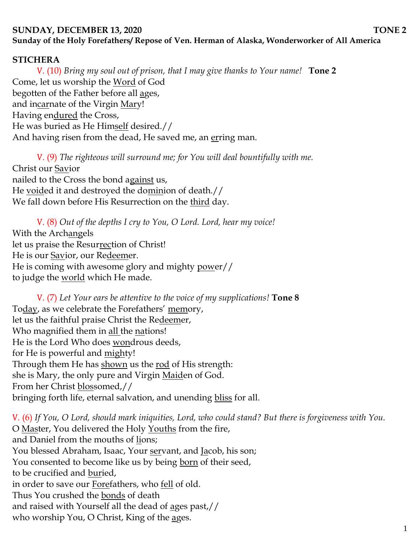## **SUNDAY, DECEMBER 13, 2020** TONE 2 **Sunday of the Holy Forefathers/ Repose of Ven. Herman of Alaska, Wonderworker of All America**

#### **STICHERA**

V. (10) *Bring my soul out of prison, that I may give thanks to Your name!* **Tone 2** Come, let us worship the Word of God begotten of the Father before all ages, and incarnate of the Virgin Mary! Having endured the Cross, He was buried as He Himself desired.// And having risen from the dead, He saved me, an erring man.

V. (9) *The righteous will surround me; for You will deal bountifully with me.*  Christ our Savior nailed to the Cross the bond against us, He voided it and destroyed the dominion of death.// We fall down before His Resurrection on the third day.

V. (8) *Out of the depths I cry to You, O Lord. Lord, hear my voice!*  With the Archangels let us praise the Resurrection of Christ! He is our Savior, our Redeemer. He is coming with awesome glory and mighty power// to judge the <u>world</u> which He made.

V. (7) *Let Your ears be attentive to the voice of my supplications!* **Tone 8** Today, as we celebrate the Forefathers' memory, let us the faithful praise Christ the Redeemer, Who magnified them in all the nations! He is the Lord Who does wondrous deeds, for He is powerful and <u>mighty!</u> Through them He has shown us the rod of His strength: she is Mary, the only pure and Virgin Maiden of God. From her Christ blossomed,// bringing forth life, eternal salvation, and unending bliss for all.

V. (6) *If You, O Lord, should mark iniquities, Lord, who could stand? But there is forgiveness with You.*  O Master, You delivered the Holy Youths from the fire, and Daniel from the mouths of lions; You blessed Abraham, Isaac, Your servant, and Jacob, his son; You consented to become like us by being born of their seed, to be crucified and buried, in order to save our Forefathers, who fell of old. Thus You crushed the bonds of death and raised with Yourself all the dead of ages past,// who worship You, O Christ, King of the ages.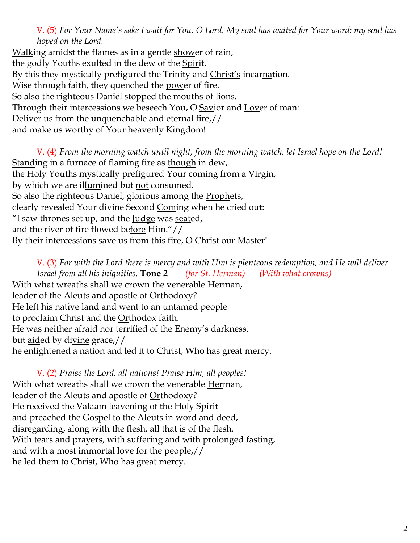V. (5) *For Your Name's sake I wait for You, O Lord. My soul has waited for Your word; my soul has hoped on the Lord.* 

Walking amidst the flames as in a gentle shower of rain, the godly Youths exulted in the dew of the Spirit. By this they mystically prefigured the Trinity and Christ's incarnation. Wise through faith, they quenched the <u>pow</u>er of fire. So also the righteous Daniel stopped the mouths of <u>li</u>ons. Through their intercessions we beseech You, O Savior and Lover of man: Deliver us from the unquenchable and eternal fire,// and make us worthy of Your heavenly **Kingdom!** 

V. (4) *From the morning watch until night, from the morning watch, let Israel hope on the Lord!*  Standing in a furnace of flaming fire as though in dew, the Holy Youths mystically prefigured Your coming from a Virgin, by which we are illumined but not consumed. So also the righteous Daniel, glorious among the Prophets, clearly revealed Your divine Second Coming when he cried out: "I saw thrones set up, and the  $Iudge$  was seated,</u> and the river of fire flowed before Him."// By their intercessions save us from this fire, O Christ our Master!

V. (3) *For with the Lord there is mercy and with Him is plenteous redemption, and He will deliver Israel from all his iniquities.* **Tone 2** *(for St. Herman) (With what crowns)* With what wreaths shall we crown the venerable Herman, leader of the Aleuts and apostle of Orthodoxy? He left his native land and went to an untamed people to proclaim Christ and the **Orthodox** faith. He was neither afraid nor terrified of the Enemy's darkness, but aided by divine grace,// he enlightened a nation and led it to Christ, Who has great mercy.

V. (2) *Praise the Lord, all nations! Praise Him, all peoples!* With what wreaths shall we crown the venerable Herman, leader of the Aleuts and apostle of Orthodoxy? He received the Valaam leavening of the Holy Spirit and preached the Gospel to the Aleuts in <u>word</u> and deed, disregarding, along with the flesh, all that is  $of$  the flesh. With tears and prayers, with suffering and with prolonged fasting, and with a most immortal love for the people,// he led them to Christ, Who has great <u>mer</u>cy.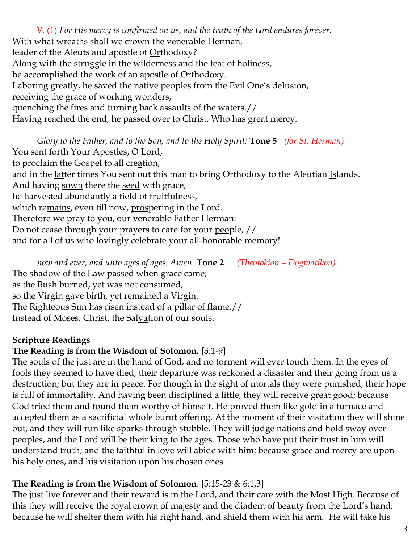V. (1) *For His mercy is confirmed on us, and the truth of the Lord endures forever.*  With what wreaths shall we crown the venerable Herman, leader of the Aleuts and apostle of Orthodoxy? Along with the struggle in the wilderness and the feat of holiness, he accomplished the work of an apostle of Orthodoxy. Laboring greatly, he saved the native peoples from the Evil One's delusion, receiving the grace of working wonders, quenching the fires and turning back assaults of the waters.// Having reached the end, he passed over to Christ, Who has great mercy.

*Glory to the Father, and to the Son, and to the Holy Spirit;* **Tone 5** *(for St. Herman)* You sent <u>forth</u> Your Apostles, O Lord, to proclaim the Gospel to all creation, and in the latter times You sent out this man to bring Orthodoxy to the Aleutian Islands. And having sown there the seed with grace, he harvested abundantly a field of fruitfulness, which remains, even till now, prospering in the Lord. Therefore we pray to you, our venerable Father Herman: Do not cease through your prayers to care for your people, // and for all of us who lovingly celebrate your all-honorable memory!

*now and ever, and unto ages of ages. Amen.* **Tone 2** *(Theotokion – Dogmatikon)* The shadow of the Law passed when grace came; as the Bush burned, yet was not consumed, so the Virgin gave birth, yet remained a Virgin. The Righteous Sun has risen instead of a pillar of flame.// Instead of Moses, Christ, the Salvation of our souls.

#### **Scripture Readings**

### **The Reading is from the Wisdom of Solomon.** [3:1-9]

The souls of the just are in the hand of God, and no torment will ever touch them. In the eyes of fools they seemed to have died, their departure was reckoned a disaster and their going from us a destruction; but they are in peace. For though in the sight of mortals they were punished, their hope is full of immortality. And having been disciplined a little, they will receive great good; because God tried them and found them worthy of himself. He proved them like gold in a furnace and accepted them as a sacrificial whole burnt offering. At the moment of their visitation they will shine out, and they will run like sparks through stubble. They will judge nations and hold sway over peoples, and the Lord will be their king to the ages. Those who have put their trust in him will understand truth; and the faithful in love will abide with him; because grace and mercy are upon his holy ones, and his visitation upon his chosen ones.

## **The Reading is from the Wisdom of Solomon**. [5:15-23 & 6:1,3]

The just live forever and their reward is in the Lord, and their care with the Most High. Because of this they will receive the royal crown of majesty and the diadem of beauty from the Lord's hand; because he will shelter them with his right hand, and shield them with his arm. He will take his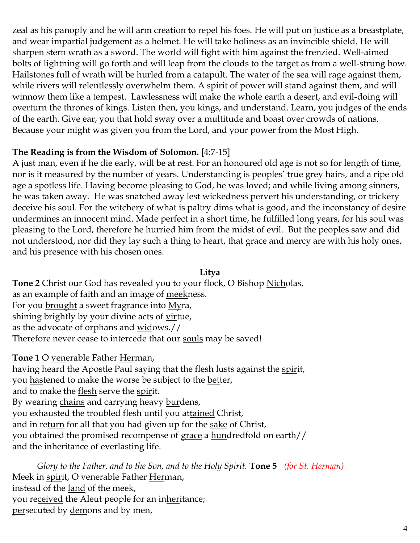zeal as his panoply and he will arm creation to repel his foes. He will put on justice as a breastplate, and wear impartial judgement as a helmet. He will take holiness as an invincible shield. He will sharpen stern wrath as a sword. The world will fight with him against the frenzied. Well-aimed bolts of lightning will go forth and will leap from the clouds to the target as from a well-strung bow. Hailstones full of wrath will be hurled from a catapult. The water of the sea will rage against them, while rivers will relentlessly overwhelm them. A spirit of power will stand against them, and will winnow them like a tempest. Lawlessness will make the whole earth a desert, and evil-doing will overturn the thrones of kings. Listen then, you kings, and understand. Learn, you judges of the ends of the earth. Give ear, you that hold sway over a multitude and boast over crowds of nations. Because your might was given you from the Lord, and your power from the Most High.

### **The Reading is from the Wisdom of Solomon.** [4:7-15]

A just man, even if he die early, will be at rest. For an honoured old age is not so for length of time, nor is it measured by the number of years. Understanding is peoples' true grey hairs, and a ripe old age a spotless life. Having become pleasing to God, he was loved; and while living among sinners, he was taken away. He was snatched away lest wickedness pervert his understanding, or trickery deceive his soul. For the witchery of what is paltry dims what is good, and the inconstancy of desire undermines an innocent mind. Made perfect in a short time, he fulfilled long years, for his soul was pleasing to the Lord, therefore he hurried him from the midst of evil. But the peoples saw and did not understood, nor did they lay such a thing to heart, that grace and mercy are with his holy ones, and his presence with his chosen ones.

#### **Litya**

**Tone 2** Christ our God has revealed you to your flock, O Bishop Nicholas, as an example of faith and an image of meekness. For you **brought** a sweet fragrance into Myra, shining brightly by your divine acts of virtue, as the advocate of orphans and widows.// Therefore never cease to intercede that our souls may be saved!

**Tone 1** O venerable Father Herman, having heard the Apostle Paul saying that the flesh lusts against the spirit, you hastened to make the worse be subject to the better, and to make the <u>flesh</u> serve the spirit. By wearing chains and carrying heavy burdens, you exhausted the troubled flesh until you attained Christ, and in return for all that you had given up for the sake of Christ, you obtained the promised recompense of grace a hundredfold on earth// and the inheritance of everlasting life.

*Glory to the Father, and to the Son, and to the Holy Spirit.* **Tone 5** *(for St. Herman)* Meek in spirit, O venerable Father Herman, instead of the land of the meek, you received the Aleut people for an inheritance; persecuted by demons and by men,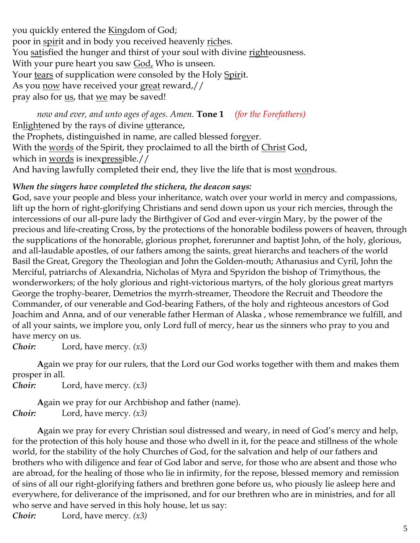you quickly entered the Kingdom of God; poor in spirit and in body you received heavenly riches. You satisfied the hunger and thirst of your soul with divine righteousness. With your pure heart you saw God, Who is unseen. Your tears of supplication were consoled by the Holy Spirit. As you now have received your great reward,// pray also for us, that we may be saved!

*now and ever, and unto ages of ages. Amen.* **Tone 1** *(for the Forefathers)* Enlightened by the rays of divine utterance, the Prophets, distinguished in name, are called blessed forever. With the words of the Spirit, they proclaimed to all the birth of Christ God, which in words is inexpressible.// And having lawfully completed their end, they live the life that is most wondrous.

#### *When the singers have completed the stichera, the deacon says:*

**G**od, save your people and bless your inheritance, watch over your world in mercy and compassions, lift up the horn of right-glorifying Christians and send down upon us your rich mercies, through the intercessions of our all-pure lady the Birthgiver of God and ever-virgin Mary, by the power of the precious and life-creating Cross, by the protections of the honorable bodiless powers of heaven, through the supplications of the honorable, glorious prophet, forerunner and baptist John, of the holy, glorious, and all-laudable apostles, of our fathers among the saints, great hierarchs and teachers of the world Basil the Great, Gregory the Theologian and John the Golden-mouth; Athanasius and Cyril, John the Merciful, patriarchs of Alexandria, Nicholas of Myra and Spyridon the bishop of Trimythous, the wonderworkers; of the holy glorious and right-victorious martyrs, of the holy glorious great martyrs George the trophy-bearer, Demetrios the myrrh-streamer, Theodore the Recruit and Theodore the Commander, of our venerable and God-bearing Fathers, of the holy and righteous ancestors of God Joachim and Anna, and of our venerable father Herman of Alaska , whose remembrance we fulfill, and of all your saints, we implore you, only Lord full of mercy, hear us the sinners who pray to you and have mercy on us.

*Choir:* Lord, have mercy. *(x3)*

**A**gain we pray for our rulers, that the Lord our God works together with them and makes them prosper in all.

*Choir:* Lord, have mercy. *(x3)*

**A**gain we pray for our Archbishop and father (name). *Choir:* Lord, have mercy. *(x3)*

**A**gain we pray for every Christian soul distressed and weary, in need of God's mercy and help, for the protection of this holy house and those who dwell in it, for the peace and stillness of the whole world, for the stability of the holy Churches of God, for the salvation and help of our fathers and brothers who with diligence and fear of God labor and serve, for those who are absent and those who are abroad, for the healing of those who lie in infirmity, for the repose, blessed memory and remission of sins of all our right-glorifying fathers and brethren gone before us, who piously lie asleep here and everywhere, for deliverance of the imprisoned, and for our brethren who are in ministries, and for all who serve and have served in this holy house, let us say:

*Choir:* Lord, have mercy. *(x3)*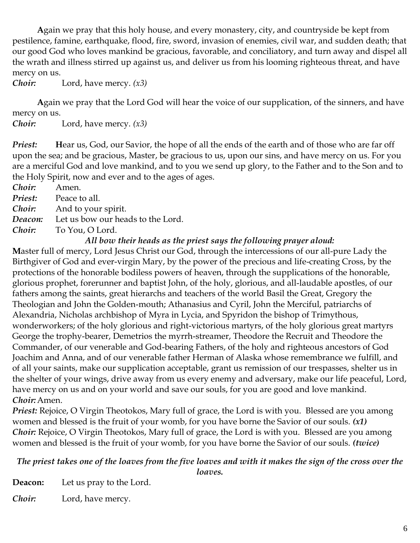**A**gain we pray that this holy house, and every monastery, city, and countryside be kept from pestilence, famine, earthquake, flood, fire, sword, invasion of enemies, civil war, and sudden death; that our good God who loves mankind be gracious, favorable, and conciliatory, and turn away and dispel all the wrath and illness stirred up against us, and deliver us from his looming righteous threat, and have mercy on us.

*Choir:* Lord, have mercy. *(x3)*

**A**gain we pray that the Lord God will hear the voice of our supplication, of the sinners, and have mercy on us.

*Choir:* Lord, have mercy. *(x3)*

*Priest:* Hear us, God, our Savior, the hope of all the ends of the earth and of those who are far off upon the sea; and be gracious, Master, be gracious to us, upon our sins, and have mercy on us. For you are a merciful God and love mankind, and to you we send up glory, to the Father and to the Son and to the Holy Spirit, now and ever and to the ages of ages.

*Choir:* Amen.

*Priest:* Peace to all.

*Choir:* And to your spirit.

*Deacon:* Let us bow our heads to the Lord.

*Choir:* To You, O Lord.

#### *All bow their heads as the priest says the following prayer aloud:*

**M**aster full of mercy, Lord Jesus Christ our God, through the intercessions of our all-pure Lady the Birthgiver of God and ever-virgin Mary, by the power of the precious and life-creating Cross, by the protections of the honorable bodiless powers of heaven, through the supplications of the honorable, glorious prophet, forerunner and baptist John, of the holy, glorious, and all-laudable apostles, of our fathers among the saints, great hierarchs and teachers of the world Basil the Great, Gregory the Theologian and John the Golden-mouth; Athanasius and Cyril, John the Merciful, patriarchs of Alexandria, Nicholas archbishop of Myra in Lycia, and Spyridon the bishop of Trimythous, wonderworkers; of the holy glorious and right-victorious martyrs, of the holy glorious great martyrs George the trophy-bearer, Demetrios the myrrh-streamer, Theodore the Recruit and Theodore the Commander, of our venerable and God-bearing Fathers, of the holy and righteous ancestors of God Joachim and Anna, and of our venerable father Herman of Alaska whose remembrance we fulfill, and of all your saints, make our supplication acceptable, grant us remission of our trespasses, shelter us in the shelter of your wings, drive away from us every enemy and adversary, make our life peaceful, Lord, have mercy on us and on your world and save our souls, for you are good and love mankind. *Choir:*Amen.

*Priest:* Rejoice, O Virgin Theotokos, Mary full of grace, the Lord is with you. Blessed are you among women and blessed is the fruit of your womb, for you have borne the Savior of our souls. *(x1) Choir*: Rejoice, O Virgin Theotokos, Mary full of grace, the Lord is with you. Blessed are you among women and blessed is the fruit of your womb, for you have borne the Savior of our souls. *(twice)*

#### *The priest takes one of the loaves from the five loaves and with it makes the sign of the cross over the loaves.*

**Deacon:** Let us pray to the Lord. *Choir:* Lord, have mercy.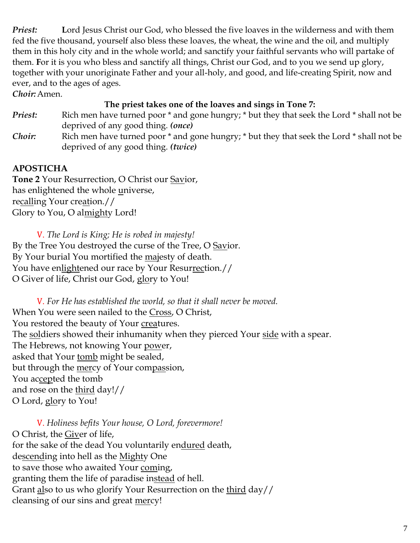*Priest:* Lord Jesus Christ our God, who blessed the five loaves in the wilderness and with them fed the five thousand, yourself also bless these loaves, the wheat, the wine and the oil, and multiply them in this holy city and in the whole world; and sanctify your faithful servants who will partake of them. **F**or it is you who bless and sanctify all things, Christ our God, and to you we send up glory, together with your unoriginate Father and your all-holy, and good, and life-creating Spirit, now and ever, and to the ages of ages.

*Choir:*Amen.

### **The priest takes one of the loaves and sings in Tone 7:**

- *Priest:* Rich men have turned poor \* and gone hungry; \* but they that seek the Lord \* shall not be deprived of any good thing. *(once)*
- *Choir:* Rich men have turned poor \* and gone hungry; \* but they that seek the Lord \* shall not be deprived of any good thing. *(twice)*

# **APOSTICHA**

**Tone 2** Your Resurrection, O Christ our Savior, has enlightened the whole universe, recalling Your creation.// Glory to You, O almighty Lord!

V. *The Lord is King; He is robed in majesty!*  By the Tree You destroyed the curse of the Tree, O Savior. By Your burial You mortified the majesty of death. You have enlightened our race by Your Resurrection.// O Giver of life, Christ our God, glory to You!

V. *For He has established the world, so that it shall never be moved.* When You were seen nailed to the Cross, O Christ, You restored the beauty of Your creatures. The soldiers showed their inhumanity when they pierced Your side with a spear. The Hebrews, not knowing Your power, asked that Your tomb might be sealed, but through the mercy of Your compassion, You accepted the tomb and rose on the third day!// O Lord, glory to You!

V. *Holiness befits Your house, O Lord, forevermore!*  O Christ, the Giver of life, for the sake of the dead You voluntarily endured death, descending into hell as the Mighty One to save those who awaited Your coming, granting them the life of paradise instead of hell. Grant also to us who glorify Your Resurrection on the third day// cleansing of our sins and great mercy!